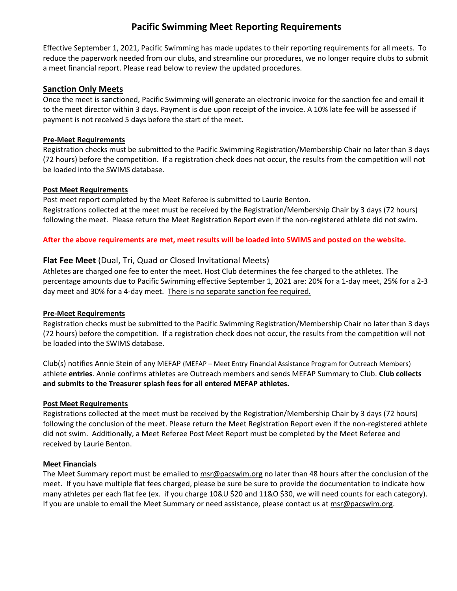# **Pacific Swimming Meet Reporting Requirements**

Effective September 1, 2021, Pacific Swimming has made updates to their reporting requirements for all meets. To reduce the paperwork needed from our clubs, and streamline our procedures, we no longer require clubs to submit a meet financial report. Please read below to review the updated procedures.

# **Sanction Only Meets**

Once the meet is sanctioned, Pacific Swimming will generate an electronic invoice for the sanction fee and email it to the meet director within 3 days. Payment is due upon receipt of the invoice. A 10% late fee will be assessed if payment is not received 5 days before the start of the meet.

## **Pre-Meet Requirements**

Registration checks must be submitted to the Pacific Swimming Registration/Membership Chair no later than 3 days (72 hours) before the competition. If a registration check does not occur, the results from the competition will not be loaded into the SWIMS database.

## **Post Meet Requirements**

Post meet report completed by the Meet Referee is submitted to Laurie Benton. Registrations collected at the meet must be received by the Registration/Membership Chair by 3 days (72 hours) following the meet. Please return the Meet Registration Report even if the non-registered athlete did not swim.

# **After the above requirements are met, meet results will be loaded into SWIMS and posted on the website.**

# **Flat Fee Meet** (Dual, Tri, Quad or Closed Invitational Meets)

Athletes are charged one fee to enter the meet. Host Club determines the fee charged to the athletes. The percentage amounts due to Pacific Swimming effective September 1, 2021 are: 20% for a 1-day meet, 25% for a 2-3 day meet and 30% for a 4-day meet. There is no separate sanction fee required.

## **Pre-Meet Requirements**

Registration checks must be submitted to the Pacific Swimming Registration/Membership Chair no later than 3 days (72 hours) before the competition. If a registration check does not occur, the results from the competition will not be loaded into the SWIMS database.

Club(s) notifies Annie Stein of any MEFAP (MEFAP – Meet Entry Financial Assistance Program for Outreach Members) athlete **entries**. Annie confirms athletes are Outreach members and sends MEFAP Summary to Club. **Club collects and submits to the Treasurer splash fees for all entered MEFAP athletes.** 

## **Post Meet Requirements**

Registrations collected at the meet must be received by the Registration/Membership Chair by 3 days (72 hours) following the conclusion of the meet. Please return the Meet Registration Report even if the non-registered athlete did not swim. Additionally, a Meet Referee Post Meet Report must be completed by the Meet Referee and received by Laurie Benton.

## **Meet Financials**

The Meet Summary report must be emailed to [msr@pacswim.org](about:blank) no later than 48 hours after the conclusion of the meet. If you have multiple flat fees charged, please be sure be sure to provide the documentation to indicate how many athletes per each flat fee (ex. if you charge 10&U \$20 and 11&O \$30, we will need counts for each category). If you are unable to email the Meet Summary or need assistance, please contact us a[t msr@pacswim.org.](about:blank)